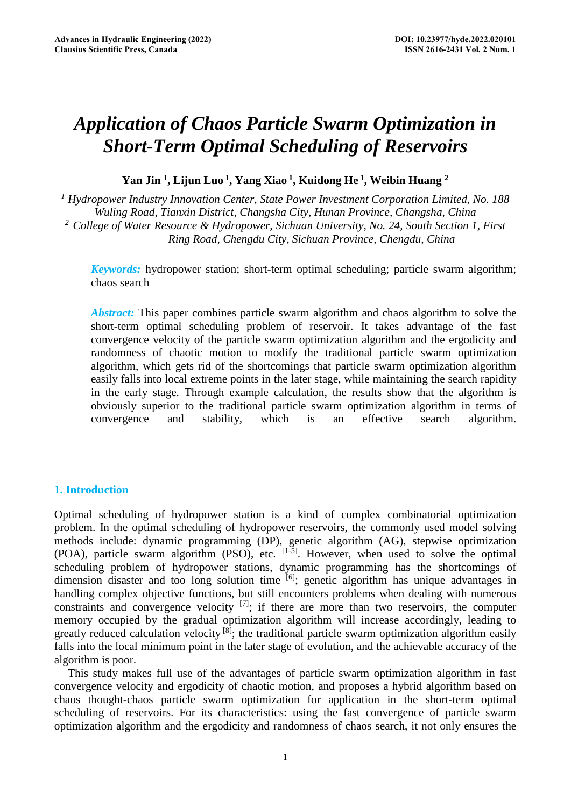# *Application of Chaos Particle Swarm Optimization in Short-Term Optimal Scheduling of Reservoirs*

**Yan Jin 1, Lijun Luo 1, Yang Xiao 1, Kuidong He 1, Weibin Huang 2**

*1 Hydropower Industry Innovation Center, State Power Investment Corporation Limited, No. 188 Wuling Road, Tianxin District, Changsha City, Hunan Province, Changsha, China 2 College of Water Resource & Hydropower, Sichuan University, No. 24, South Section 1, First Ring Road, Chengdu City, Sichuan Province, Chengdu, China* 

*Keywords*: hydropower station; short-term optimal scheduling; particle swarm algorithm; chaos search

*Abstract:* This paper combines particle swarm algorithm and chaos algorithm to solve the short-term optimal scheduling problem of reservoir. It takes advantage of the fast convergence velocity of the particle swarm optimization algorithm and the ergodicity and randomness of chaotic motion to modify the traditional particle swarm optimization algorithm, which gets rid of the shortcomings that particle swarm optimization algorithm easily falls into local extreme points in the later stage, while maintaining the search rapidity in the early stage. Through example calculation, the results show that the algorithm is obviously superior to the traditional particle swarm optimization algorithm in terms of convergence and stability, which is an effective search algorithm.

# **1. Introduction**

Optimal scheduling of hydropower station is a kind of complex combinatorial optimization problem. In the optimal scheduling of hydropower reservoirs, the commonly used model solving methods include: dynamic programming (DP), genetic algorithm (AG), stepwise optimization (POA), particle swarm algorithm (PSO), etc. [1-5]. However, when used to solve the optimal scheduling problem of hydropower stations, dynamic programming has the shortcomings of dimension disaster and too long solution time <sup>[6]</sup>; genetic algorithm has unique advantages in handling complex objective functions, but still encounters problems when dealing with numerous constraints and convergence velocity  $^{[7]}$ ; if there are more than two reservoirs, the computer memory occupied by the gradual optimization algorithm will increase accordingly, leading to greatly reduced calculation velocity <sup>[8]</sup>; the traditional particle swarm optimization algorithm easily falls into the local minimum point in the later stage of evolution, and the achievable accuracy of the algorithm is poor.

This study makes full use of the advantages of particle swarm optimization algorithm in fast convergence velocity and ergodicity of chaotic motion, and proposes a hybrid algorithm based on chaos thought-chaos particle swarm optimization for application in the short-term optimal scheduling of reservoirs. For its characteristics: using the fast convergence of particle swarm optimization algorithm and the ergodicity and randomness of chaos search, it not only ensures the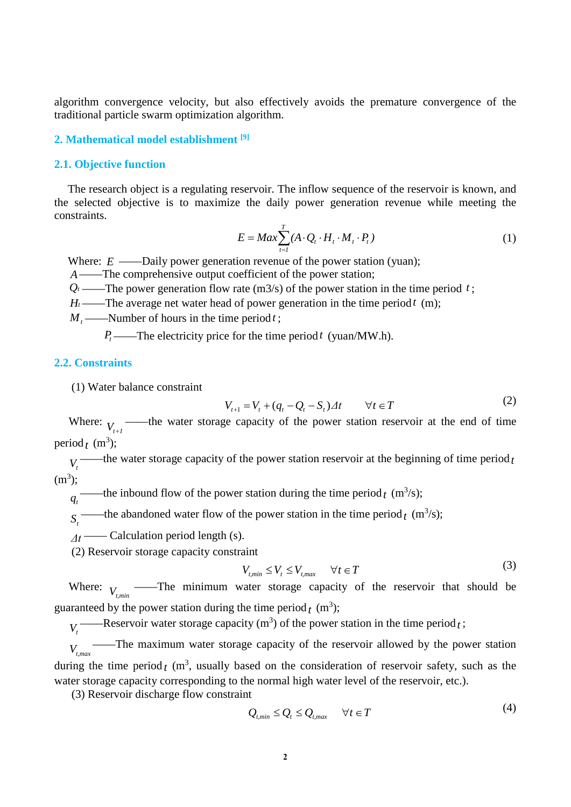algorithm convergence velocity, but also effectively avoids the premature convergence of the traditional particle swarm optimization algorithm.

#### **2. Mathematical model establishment [9]**

#### **2.1. Objective function**

The research object is a regulating reservoir. The inflow sequence of the reservoir is known, and the selected objective is to maximize the daily power generation revenue while meeting the constraints.

$$
E = Max \sum_{t=1}^{T} (A \cdot Q_t \cdot H_t \cdot M_t \cdot P_t)
$$
\n(1)

Where:  $E \longrightarrow$ Daily power generation revenue of the power station (yuan);

*A*——The comprehensive output coefficient of the power station;

 $Q_t$ ——The power generation flow rate (m3/s) of the power station in the time period *t*;

 $H_t$ ——The average net water head of power generation in the time period  $t$  (m);

 $M_$  ——Number of hours in the time period t;

 $P_t$ ——The electricity price for the time period *t* (yuan/MW.h).

# **2.2. Constraints**

(1) Water balance constraint

$$
V_{t+1} = V_t + (q_t - Q_t - S_t) \Delta t \qquad \forall t \in T
$$
 (2)

Where:  $V_{t+1}$  ——the water storage capacity of the power station reservoir at the end of time period<sub>t</sub> (m<sup>3</sup>);

 $V_t$ <sup>——the water storage capacity of the power station reservoir at the beginning of time period<sub>t</sub></sup>  $(m^3);$ 

 $q_t^-$ ——the inbound flow of the power station during the time period  $t$  (m<sup>3</sup>/s);

 $S_t$  ——the abandoned water flow of the power station in the time period  $t$  (m<sup>3</sup>/s);

*Δt* —— Calculation period length (s).

(2) Reservoir storage capacity constraint

$$
V_{t,min} \le V_t \le V_{t,max} \qquad \forall t \in T
$$
\n<sup>(3)</sup>

Where:  $V_{t,min}$  ——The minimum water storage capacity of the reservoir that should be guaranteed by the power station during the time period<sub>t</sub> (m<sup>3</sup>);

 $V_t$ <sup>——Reservoir water storage capacity (m<sup>3</sup>) of the power station in the time period *t*;</sup>

*Vt,max* ——The maximum water storage capacity of the reservoir allowed by the power station during the time period  $t$  (m<sup>3</sup>, usually based on the consideration of reservoir safety, such as the water storage capacity corresponding to the normal high water level of the reservoir, etc.).

(3) Reservoir discharge flow constraint

$$
Q_{t,min} \le Q_t \le Q_{t,max} \qquad \forall t \in T
$$
\n<sup>(4)</sup>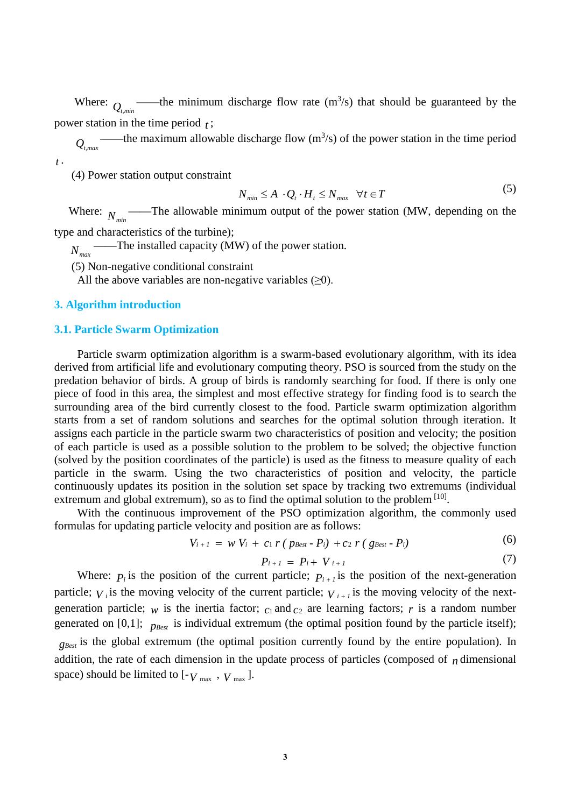Where:  $Q_{t,min}$  ——the minimum discharge flow rate  $(m^3/s)$  that should be guaranteed by the power station in the time period *t* ;

*Qt,max* ——the maximum allowable discharge flow  $(m^3/s)$  of the power station in the time period *t* .

(4) Power station output constraint

$$
N_{\min} \le A \cdot Q_t \cdot H_t \le N_{\max} \quad \forall t \in T \tag{5}
$$

Where:  $N_{min}$ ——The allowable minimum output of the power station (MW, depending on the type and characteristics of the turbine);

——The installed capacity (MW) of the power station.

 $N_{max}$ <sup>-</sup>

(5) Non-negative conditional constraint

All the above variables are non-negative variables  $(\geq 0)$ .

# **3. Algorithm introduction**

#### **3.1. Particle Swarm Optimization**

Particle swarm optimization algorithm is a swarm-based evolutionary algorithm, with its idea derived from artificial life and evolutionary computing theory. PSO is sourced from the study on the predation behavior of birds. A group of birds is randomly searching for food. If there is only one piece of food in this area, the simplest and most effective strategy for finding food is to search the surrounding area of the bird currently closest to the food. Particle swarm optimization algorithm starts from a set of random solutions and searches for the optimal solution through iteration. It assigns each particle in the particle swarm two characteristics of position and velocity; the position of each particle is used as a possible solution to the problem to be solved; the objective function (solved by the position coordinates of the particle) is used as the fitness to measure quality of each particle in the swarm. Using the two characteristics of position and velocity, the particle continuously updates its position in the solution set space by tracking two extremums (individual extremum and global extremum), so as to find the optimal solution to the problem  $[10]$ .

With the continuous improvement of the PSO optimization algorithm, the commonly used formulas for updating particle velocity and position are as follows:

$$
V_{i+1} = w V_i + c_1 r (p_{\text{Best}} - P_i) + c_2 r (g_{\text{Best}} - P_i)
$$
 (6)

$$
P_{i+1} = P_i + V_{i+1} \tag{7}
$$

Where:  $P_i$  is the position of the current particle;  $P_{i+1}$  is the position of the next-generation particle;  $V_i$  is the moving velocity of the current particle;  $V_{i+1}$  is the moving velocity of the nextgeneration particle;  $w$  is the inertia factor;  $c_1$  and  $c_2$  are learning factors; r is a random number generated on [0,1];  $p_{\text{Best}}$  is individual extremum (the optimal position found by the particle itself); *g<sub>Best</sub>* is the global extremum (the optimal position currently found by the entire population). In

addition, the rate of each dimension in the update process of particles (composed of *n* dimensional space) should be limited to  $[-V_{\text{max}} , V_{\text{max}} ]$ .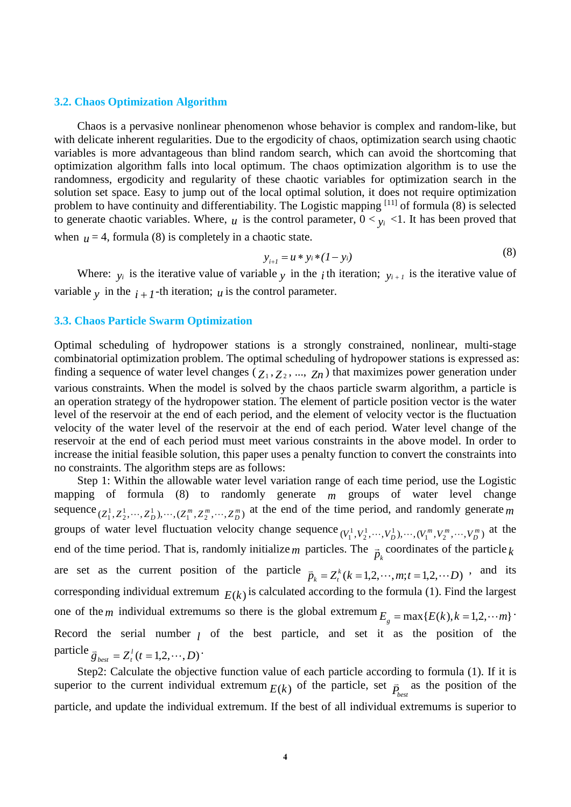#### **3.2. Chaos Optimization Algorithm**

Chaos is a pervasive nonlinear phenomenon whose behavior is complex and random-like, but with delicate inherent regularities. Due to the ergodicity of chaos, optimization search using chaotic variables is more advantageous than blind random search, which can avoid the shortcoming that optimization algorithm falls into local optimum. The chaos optimization algorithm is to use the randomness, ergodicity and regularity of these chaotic variables for optimization search in the solution set space. Easy to jump out of the local optimal solution, it does not require optimization problem to have continuity and differentiability. The Logistic mapping [11] of formula (8) is selected to generate chaotic variables. Where,  $u$  is the control parameter,  $0 < v_i < 1$ . It has been proved that when  $\mu = 4$ , formula (8) is completely in a chaotic state.

$$
y_{i+1} = u * y_i * (1 - y_i)
$$
 (8)

Where:  $y_i$  is the iterative value of variable  $y_i$  in the *i*th iteration;  $y_{i+1}$  is the iterative value of variable  $\gamma$  in the  $i + 1$ -th iteration; *u* is the control parameter.

# **3.3. Chaos Particle Swarm Optimization**

Optimal scheduling of hydropower stations is a strongly constrained, nonlinear, multi-stage combinatorial optimization problem. The optimal scheduling of hydropower stations is expressed as: finding a sequence of water level changes ( $Z_1, Z_2, ..., Z_n$ ) that maximizes power generation under various constraints. When the model is solved by the chaos particle swarm algorithm, a particle is an operation strategy of the hydropower station. The element of particle position vector is the water level of the reservoir at the end of each period, and the element of velocity vector is the fluctuation velocity of the water level of the reservoir at the end of each period. Water level change of the reservoir at the end of each period must meet various constraints in the above model. In order to increase the initial feasible solution, this paper uses a penalty function to convert the constraints into no constraints. The algorithm steps are as follows:

Step 1: Within the allowable water level variation range of each time period, use the Logistic mapping of formula (8) to randomly generate *m* groups of water level change sequence  $(Z_1^1, Z_2^1, \dots, Z_D^1), \dots, (Z_1^m, Z_2^m, \dots, Z_D^m)$  at the end of the time period, and randomly generate *m* groups of water level fluctuation velocity change sequence  $(V_1^1, V_2^1, \dots, V_D^1), \dots, (V_1^m, V_2^m, \dots, V_D^m)$  at the end of the time period. That is, randomly initialize *m* particles. The  $\vec{p}_k$  coordinates of the particle  $k$ are set as the current position of the particle  $\overline{p}_k = Z_t^k (k = 1, 2, \dots, m; t = 1, 2, \dots, D)$ , and its corresponding individual extremum  $E(k)$  is calculated according to the formula (1). Find the largest one of the *m* individual extremums so there is the global extremum  $E<sub>g</sub> = max{E(k), k = 1,2,..., m}$ . Record the serial number  $\ell$  of the best particle, and set it as the position of the particle  $\overline{g}_{best} = Z_t^l(t = 1, 2, \cdots, D)$ .

Step2: Calculate the objective function value of each particle according to formula (1). If it is superior to the current individual extremum  $E(k)$  of the particle, set  $\overline{P}_{best}$  as the position of the particle, and update the individual extremum. If the best of all individual extremums is superior to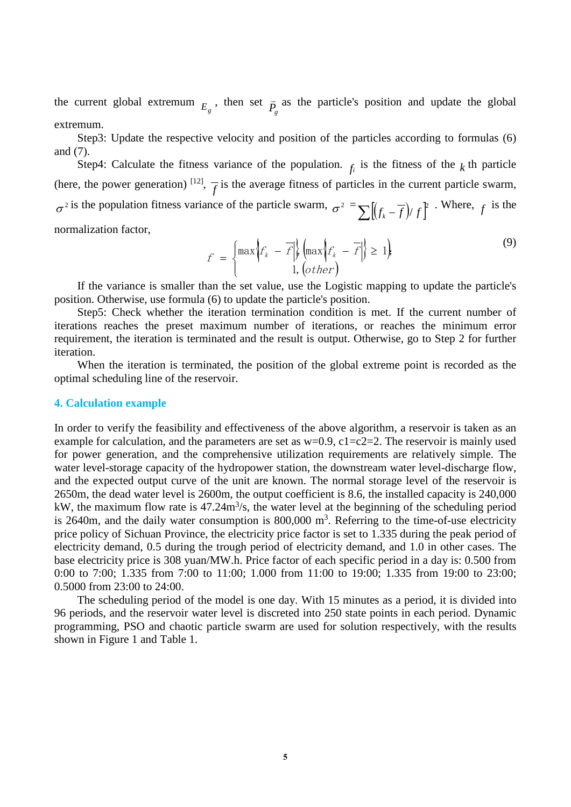the current global extremum  $E_g$ , then set  $\overline{P}_g$  as the particle's position and update the global extremum.

Step3: Update the respective velocity and position of the particles according to formulas (6) and (7).

Step4: Calculate the fitness variance of the population.  $f_i$  is the fitness of the  $k$  th particle (here, the power generation) <sup>[12]</sup>,  $\frac{1}{f}$  is the average fitness of particles in the current particle swarm,  $\sigma^2$  is the population fitness variance of the particle swarm,  $\sigma^2 = \sum \left[ \left( f_k - \overline{f} \right) / f \right]^2$ . Where, *f* is the normalization factor,

$$
f = \begin{cases} \max\left\{f_k - \overline{f}\middle|\right\} \left(\max\left\{f_k - \overline{f}\middle|\right\} \ge 1\right) & (9) \\ 1, \left(\text{other}\right) & (9) \end{cases}
$$

If the variance is smaller than the set value, use the Logistic mapping to update the particle's position. Otherwise, use formula (6) to update the particle's position.

Step5: Check whether the iteration termination condition is met. If the current number of iterations reaches the preset maximum number of iterations, or reaches the minimum error requirement, the iteration is terminated and the result is output. Otherwise, go to Step 2 for further iteration.

When the iteration is terminated, the position of the global extreme point is recorded as the optimal scheduling line of the reservoir.

## **4. Calculation example**

In order to verify the feasibility and effectiveness of the above algorithm, a reservoir is taken as an example for calculation, and the parameters are set as  $w=0.9$ ,  $c1=c2=2$ . The reservoir is mainly used for power generation, and the comprehensive utilization requirements are relatively simple. The water level-storage capacity of the hydropower station, the downstream water level-discharge flow, and the expected output curve of the unit are known. The normal storage level of the reservoir is 2650m, the dead water level is 2600m, the output coefficient is 8.6, the installed capacity is 240,000 kW, the maximum flow rate is  $47.24 \text{m}^3/\text{s}$ , the water level at the beginning of the scheduling period is 2640m, and the daily water consumption is  $800,000$  m<sup>3</sup>. Referring to the time-of-use electricity price policy of Sichuan Province, the electricity price factor is set to 1.335 during the peak period of electricity demand, 0.5 during the trough period of electricity demand, and 1.0 in other cases. The base electricity price is 308 yuan/MW.h. Price factor of each specific period in a day is: 0.500 from 0:00 to 7:00; 1.335 from 7:00 to 11:00; 1.000 from 11:00 to 19:00; 1.335 from 19:00 to 23:00; 0.5000 from 23:00 to 24:00.

The scheduling period of the model is one day. With 15 minutes as a period, it is divided into 96 periods, and the reservoir water level is discreted into 250 state points in each period. Dynamic programming, PSO and chaotic particle swarm are used for solution respectively, with the results shown in Figure 1 and Table 1.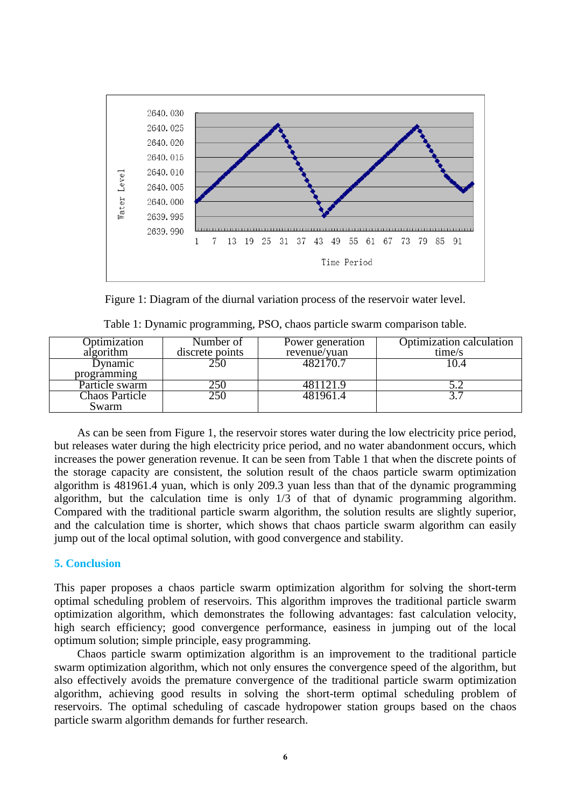

Figure 1: Diagram of the diurnal variation process of the reservoir water level.

| Optimization          | Number of       | Power generation | Optimization calculation |
|-----------------------|-----------------|------------------|--------------------------|
| algorithm             | discrete points | revenue/yuan     | time/s                   |
| Dynamic               | 250             | 482170.7         | 10.4                     |
| programming           |                 |                  |                          |
| Particle swarm        | <b>250</b>      | 481121.9         |                          |
| <b>Chaos Particle</b> | 250             | 481961.4         |                          |
| Swarm                 |                 |                  |                          |

|  |  | Table 1: Dynamic programming, PSO, chaos particle swarm comparison table. |  |
|--|--|---------------------------------------------------------------------------|--|
|  |  |                                                                           |  |

As can be seen from Figure 1, the reservoir stores water during the low electricity price period, but releases water during the high electricity price period, and no water abandonment occurs, which increases the power generation revenue. It can be seen from Table 1 that when the discrete points of the storage capacity are consistent, the solution result of the chaos particle swarm optimization algorithm is 481961.4 yuan, which is only 209.3 yuan less than that of the dynamic programming algorithm, but the calculation time is only 1/3 of that of dynamic programming algorithm. Compared with the traditional particle swarm algorithm, the solution results are slightly superior, and the calculation time is shorter, which shows that chaos particle swarm algorithm can easily jump out of the local optimal solution, with good convergence and stability.

# **5. Conclusion**

This paper proposes a chaos particle swarm optimization algorithm for solving the short-term optimal scheduling problem of reservoirs. This algorithm improves the traditional particle swarm optimization algorithm, which demonstrates the following advantages: fast calculation velocity, high search efficiency; good convergence performance, easiness in jumping out of the local optimum solution; simple principle, easy programming.

Chaos particle swarm optimization algorithm is an improvement to the traditional particle swarm optimization algorithm, which not only ensures the convergence speed of the algorithm, but also effectively avoids the premature convergence of the traditional particle swarm optimization algorithm, achieving good results in solving the short-term optimal scheduling problem of reservoirs. The optimal scheduling of cascade hydropower station groups based on the chaos particle swarm algorithm demands for further research.